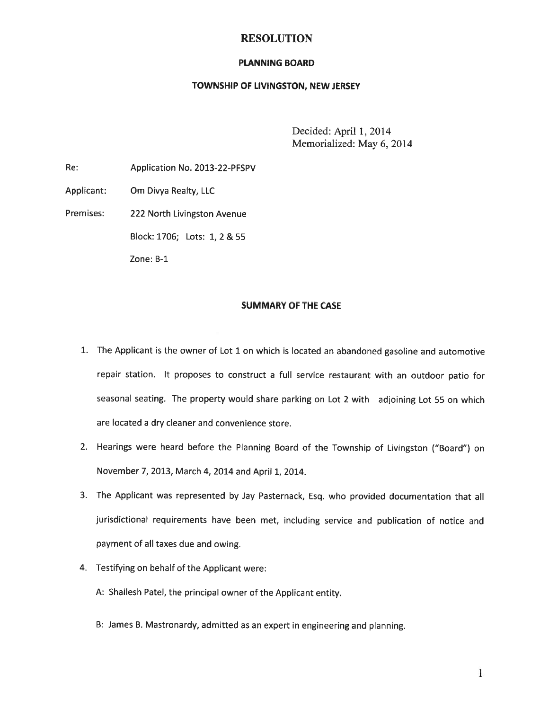## RESOLUTION

#### PLANNING BOARD

#### TOWNSHIP OF LIVINGSTON, NEW JERSEY

Decided: April 1, 2014 Memorialized: May 6, 2014

Re: Application No. 2013-22-PFSPV

Applicant: Om Divya Realty, LLC

Premises: 222 North Livingston Avenue

Block: 1706; Lots: 1, 2 & 55

Zone: B-i

#### SUMMARY OF THE CASE

- 1. The Applicant is the owner of Lot <sup>1</sup> on which is located an abandoned gasoline and automotive repair station. It proposes to construct <sup>a</sup> full service restaurant with an outdoor patio for seasonal seating. The property would share parking on Lot <sup>2</sup> with adjoining Lot <sup>55</sup> on which are located <sup>a</sup> dry cleaner and convenience store.
- 2. Hearings were heard before the Planning Board of the Township of Livingston ("Board") on November 7, 2013, March 4, 2014 and April 1, 2014.
- 3. The Applicant was represented by Jay Pasternack, Esq. who provided documentation that all jurisdictional requirements have been met, including service and publication of notice and paymen<sup>t</sup> of all taxes due and owing.
- 4. Testifying on behalf of the Applicant were:
	- A: Shailesh Patel, the principal owner of the Applicant entity.
	- B: James B. Mastronardy, admitted as an exper<sup>t</sup> in engineering and <sup>p</sup>lanning.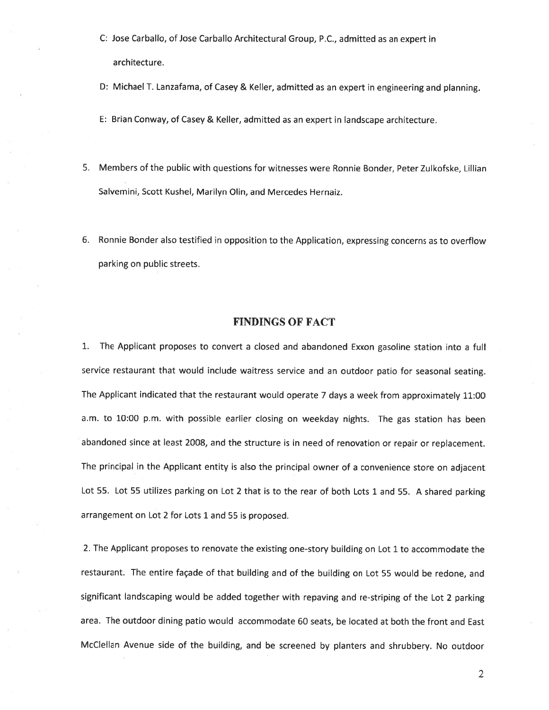C: Jose Carballo, of Jose Carballo Architectural Group, P.C., admitted as an exper<sup>t</sup> in architecture.

D: Michael T. Lanzafama, of Casey & Keller, admitted as an exper<sup>t</sup> in engineering and <sup>p</sup>lanning.

E: Brian Conway, of Casey & Keller, admitted as an exper<sup>t</sup> in landscape architecture.

- 5. Members of the public with questions for witnesses were Ronnie Bonder, Peter Zulkofske, Lillian Salvemini, Scott Kushel, Marilyn Olin, and Mercedes Hernaiz.
- 6. Ronnie Bonder also testified in opposition to the Application, expressing concerns as to overflow parking on public streets.

#### FINDINGS OF FACT

1. The Applicant proposes to convert <sup>a</sup> closed and abandoned Exxon gasoline station into <sup>a</sup> full service restaurant that would include waitress service and an outdoor patio for seasonal seating. The Applicant indicated that the restaurant would operate <sup>7</sup> days <sup>a</sup> week from approximately 11:00 am. to 10:00 p.m. with possible earlier closing on weekday nights. The gas station has been abandoned since at least 2008, and the structure is in need of renovation or repair or replacement. The principal in the Applicant entity is also the principal owner of <sup>a</sup> convenience store on adjacent Lot 55. Lot <sup>55</sup> utilizes parking on Lot <sup>2</sup> that is to the rear of both Lots <sup>1</sup> and 55. <sup>A</sup> shared parking arrangemen<sup>t</sup> on Lot 2 for Lots 1 and 55 is proposed.

2. The Applicant proposes to renovate the existing one-story building on Lot <sup>1</sup> to accommodate the restaurant. The entire façade of that building and of the building on Lot <sup>55</sup> would be redone, and significant landscaping would be added together with repaving and re-striping of the Lot <sup>2</sup> parking area. The outdoor dining patio would accommodate 60 seats, be located at both the front and East McClellan Avenue side of the building, and be screened by <sup>p</sup>lanters and shrubbery. No outdoor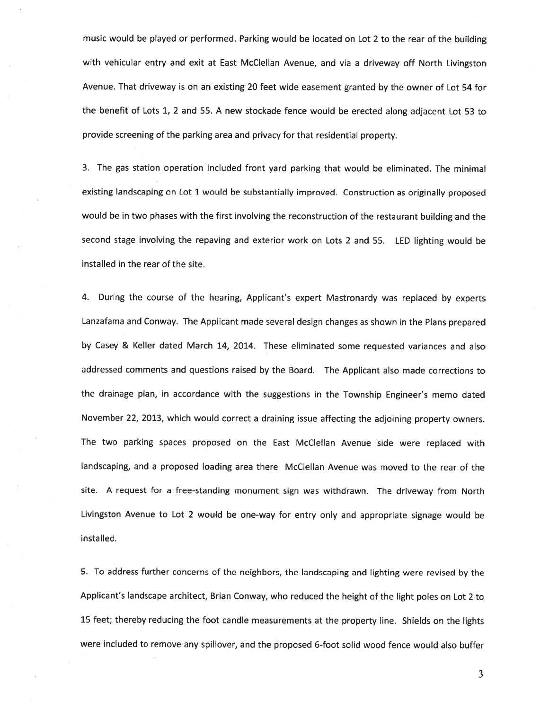music would be <sup>p</sup>layed or performed. Parking would be located on Lot <sup>2</sup> to the rear of the building with vehicular entry and exit at East McClellan Avenue, and via <sup>a</sup> driveway off North Livingston Avenue. That driveway is on an existing <sup>20</sup> feet wide easement granted by the owner of Lot <sup>54</sup> for the benefit of Lots 1, <sup>2</sup> and 55. <sup>A</sup> new stockade fence would be erected along adjacent Lot <sup>53</sup> to provide screening of the parking area and privacy for that residential property.

3. The gas station operation included front yard parking that would be eliminated. The minimal existing landscaping on Lot <sup>1</sup> would be substantially improved. Construction as originally propose<sup>d</sup> would be in two <sup>p</sup>hases with the first involving the reconstruction of the restaurant building and the second stage involving the repaving and exterior work on Lots <sup>2</sup> and 55. LED lighting would be installed in the rear of the site.

4. During the course of the hearing, Applicant's exper<sup>t</sup> Mastronardy was replaced by experts Lanzafama and Conway. The Applicant made several design changes as shown in the Plans prepare<sup>d</sup> by Casey & Keller dated March 14, 2014. These eliminated some requested variances and also addressed comments and questions raised by the Board. The Applicant also made corrections to the drainage <sup>p</sup>lan, in accordance with the suggestions in the Township Engineer's memo dated November 22, 2013, which would correct <sup>a</sup> draining issue affecting the adjoining property owners. The two parking spaces propose<sup>d</sup> on the East McClellan Avenue side were replaced with landscaping, and <sup>a</sup> proposed loading area there McClellan Avenue was moved to the rear of the site. <sup>A</sup> reques<sup>t</sup> for <sup>a</sup> free-standing monument sign was withdrawn. The driveway from North Livingston Avenue to Lot <sup>2</sup> would be one-way for entry only and appropriate signage would be installed.

5. To address further concerns of the neighbors, the landscaping and lighting were revised by the Applicant's landscape architect, Brian Conway, who reduced the height of the light poles on Lot <sup>2</sup> to <sup>15</sup> feet; thereby reducing the foot candle measurements at the property line. Shields on the lights were included to remove any spiltover, and the proposed 6-foot solid wood fence would also buffer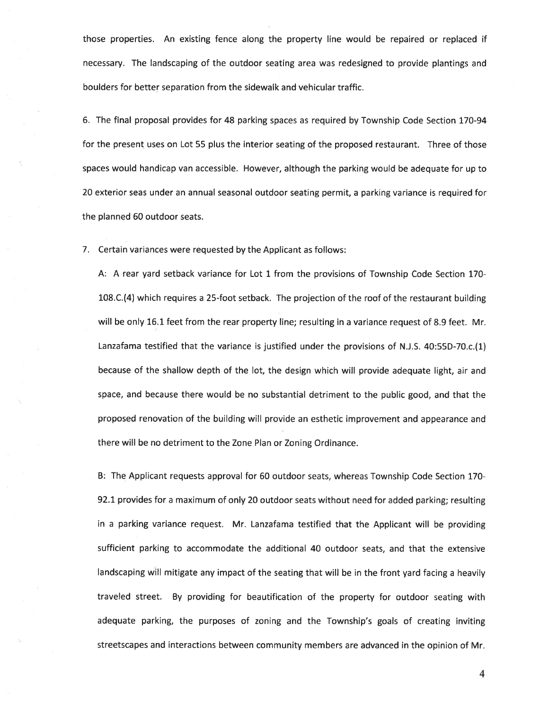those properties. An existing fence along the property line would be repaired or replaced if necessary. The landscaping of the outdoor seating area was redesigned to provide plantings and boulders for better separation from the sidewalk and vehicular traffic.

6. The final proposa<sup>l</sup> provides for 48 parking spaces as required by Township Code Section 170-94 for the presen<sup>t</sup> uses on Lot 55 plus the interior seating of the proposed restaurant. Three of those spaces would handicap van accessible. However, although the parking would be adequate for up to 20 exterior seas under an annual seasonal outdoor seating permit, <sup>a</sup> parking variance is required for the planned 60 outdoor seats.

7. Certain variances were requested by the Applicant as follows:

A: A rear yard setback variance for Lot 1 from the provisions of Township Code Section 170- 108.C.(4) which requires <sup>a</sup> 25-foot setback. The projection of the roof of the restaurant building will be only 16.1 feet from the rear property line; resulting in <sup>a</sup> variance reques<sup>t</sup> of 8.9 feet. Mr. Lanzafama testified that the variance is justified under the provisions of NJ.S. 40:55D-70.c.(1) because of the shallow depth of the lot, the design which will provide adequate light, air and space, and because there would be no substantial detriment to the public good, and that the proposed renovation of the building will provide an esthetic improvement and appearance and there will be no detriment to the Zone Plan or Zoning Ordinance.

B: The Applicant requests approval for 60 outdoor seats, whereas Township Code Section 170- 92.1 provides for <sup>a</sup> maximum of only 20 outdoor seats without need for added parking; resulting in <sup>a</sup> parking variance request. Mr. Lanzafama testified that the Applicant will be providing sufficient parking to accommodate the additional 40 outdoor seats, and that the extensive landscaping will mitigate any impact of the seating that will be in the front yard facing <sup>a</sup> heavily traveled street. By providing for beautification of the property for outdoor seating with adequate parking, the purposes of zoning and the Township's goals of creating inviting streetscapes and interactions between community members are advanced in the opinion of Mr.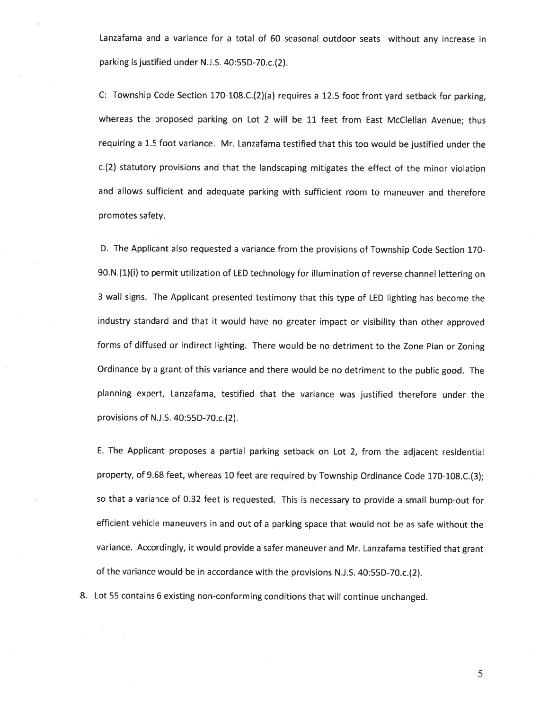Lanzafama and <sup>a</sup> variance for <sup>a</sup> total of <sup>60</sup> seasonal outdoor seats without any increase in parking is justified under N.J.S. 40:55D-70.c.(2).

C: Township Code Section 170-108.C.(2)(a) requires <sup>a</sup> 12.5 foot front yar<sup>d</sup> setback for parking, whereas the proposed parking on Lot <sup>2</sup> will be <sup>11</sup> feet from East McClellan Avenue; thus requiring <sup>a</sup> 1.5 foot variance. Mr. Lanzafama testified that this too would be justified under the c.(2) statutory provisions and that the landscaping mitigates the effect of the minor violation and allows sufficient and adequate parking with sufficient room to maneuver and therefore promotes safety.

D. The Applicant also requested <sup>a</sup> variance from the provisions of Township Code Section 170- 90.N.(1)(i) to permit utilization of LED technology for illumination of reverse channel lettering on <sup>3</sup> wall signs. The Applicant presented testimony that this type of LED lighting has become the industry standard and that it would have no greater impact or visibility than other approve<sup>d</sup> forms of diffused or indirect lighting. There would be no detriment to the Zone Plan or Zoning Ordinance by <sup>a</sup> gran<sup>t</sup> of this variance and there would be no detriment to the public good. The <sup>p</sup>lanning expert, Lanzafama, testified that the variance was justified therefore under the provisions of N.J.S. 40:55D-70.c.(2).

E. The Applicant proposes <sup>a</sup> partial parking setback on Lot 2, from the adjacent residential property, of 9.68 feet, whereas <sup>10</sup> feet are required by Township Ordinance Code 170-108.C.(3); so that <sup>a</sup> variance of 0.32 feet is requested. This is necessary to provide <sup>a</sup> small bump-out for efficient vehicle maneuvers in and out of <sup>a</sup> parking space that would not be as safe without the variance. Accordingly, it would provide <sup>a</sup> safer maneuver and Mr. Lanzafama testified that gran<sup>t</sup> of the variance would be in accordance with the provisions N.J.S. 40:55D-70.c.(2).

8. Lot <sup>55</sup> contains <sup>6</sup> existing non-conforming conditions that will continue unchanged.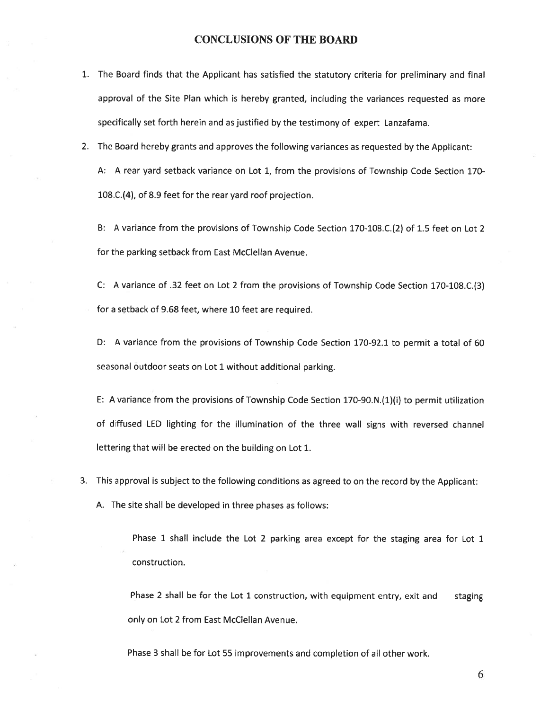#### CONCLUSIONS OF THE BOARD

- 1. The Board finds that the Applicant has satisfied the statutory criteria for preliminary and final approva<sup>l</sup> of the Site Plan which is hereby granted, including the variances requested as more specifically set forth herein and as justified by the testimony of exper<sup>t</sup> Lanzafama.
- 2. The Board hereby grants and approves the following variances as requested by the Applicant:

A: A rear yard setback variance on Lot 1, from the provisions of Township Code Section 170- 108.C.(4), of 8.9 feet for the rear yard roof projection.

B: A variance from the provisions of Township Code Section 170-108.C.(2) of 1.5 feet on Lot 2 for the parking setback from East McClellan Avenue.

C: <sup>A</sup> variance of .32 feet on Lot <sup>2</sup> from the provisions of Township Code Section 170-108.C.(3) for <sup>a</sup> setback of 9.68 feet, where 10 feet are required.

D: <sup>A</sup> variance from the provisions of Township Code Section 170-92.1 to permit <sup>a</sup> total of 60 seasonal outdoor seats on Lot 1 without additional parking.

E: <sup>A</sup> variance from the provisions of Township Code Section 170-90.N.(1)(i) to permit utilization of diffused LED lighting for the illumination of the three wall signs with reversed channel lettering that will be erected on the building on Lot 1.

3. This approva<sup>l</sup> is subject to the following conditions as agree<sup>d</sup> to on the record by the Applicant:

A. The site shall be developed in three phases as follows:

Phase 1 shall include the Lot 2 parking area except for the staging area for Lot 1 construction.

Phase 2 shall be for the Lot 1 construction, with equipment entry, exit and staging only on Lot 2 from East McClellan Avenue.

Phase 3 shall be for Lot 55 improvements and completion of all other work.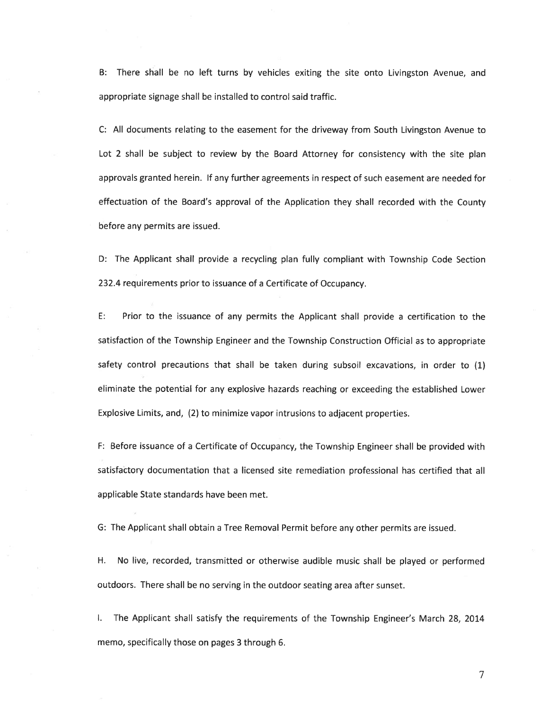B: There shall be no left turns by vehicles exiting the site onto Livingston Avenue, and appropriate signage shall be installed to control said traffic.

C: All documents relating to the easement for the driveway from South Livingston Avenue to Lot 2 shall be subject to review by the Board Attorney for consistency with the site plan approvals granted herein. If any further agreements in respec<sup>t</sup> of such easement are needed for effectuation of the Board's approva<sup>l</sup> of the Application they shall recorded with the County before any permits are issued.

D: The Applicant shall provide <sup>a</sup> recycling plan fully compliant with Township Code Section 232.4 requirements prior to issuance of <sup>a</sup> Certificate of Occupancy.

E: Prior to the issuance of any permits the Applicant shall provide <sup>a</sup> certification to the satisfaction of the Township Engineer and the Township Construction Official as to appropriate safety control precautions that shall be taken during subsoil excavations, in order to (1) eliminate the potential for any explosive hazards reaching or exceeding the established Lower Explosive Limits, and, (2) to minimize vapor intrusions to adjacent properties.

F: Before issuance of <sup>a</sup> Certificate of Occupancy, the Township Engineer shall be provided with satisfactory documentation that <sup>a</sup> licensed site remediation professional has certified that all applicable State standards have been met.

G: The Applicant shall obtain <sup>a</sup> Tree Removal Permit before any other permits are issued.

H. No live, recorded, transmitted or otherwise audible music shall be <sup>p</sup>layed or performed outdoors. There shall be no serving in the outdoor seating area after sunset.

I. The Applicant shall satisfy the requirements of the Township Engineer's March 28, 2014 memo, specifically those on pages 3 through 6.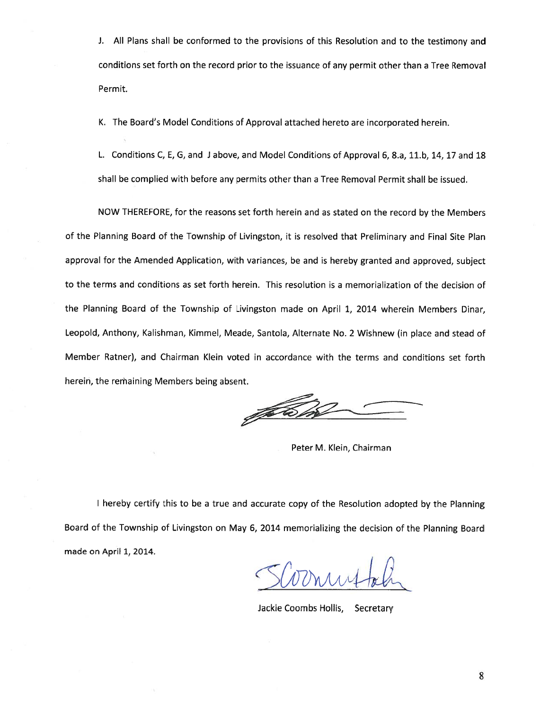J. All Plans shall be conformed to the provisions of this Resolution and to the testimony and conditions set forth on the record prior to the issuance of any permit other than <sup>a</sup> Tree Removal Permit.

K. The Board's Model Conditions of Approval attached hereto are incorporated herein.

L. Conditions C, E, G, and J above, and Model Conditions of Approval 6, 8.a, 11.b, 14, 17 and 18 shall be complied with before any permits other than <sup>a</sup> Tree Removal Permit shall be issued.

NOW THEREFORE, for the reasons set forth herein and as stated on the record by the Members of the Planning Board of the Township of Livingston, it is resolved that Preliminary and Final Site Plan approva<sup>l</sup> for the Amended Application, with variances, be and is hereby granted and approved, subject to the terms and conditions as set forth herein. This resolution is <sup>a</sup> memorialization of the decision of the Planning Board of the Township of Livingston made on April 1, 2014 wherein Members Dinar, Leopold, Anthony, Kalishman, Kimmel, Meade, Santola, Alternate No. <sup>2</sup> Wishnew (in <sup>p</sup>lace and stead of Member Ratner), and Chairman Klein voted in accordance with the terms and conditions set forth herein, the remaining Members being absent.

JAKO.

Peter M. Klein, Chairman

<sup>I</sup> hereby certify this to be <sup>a</sup> true and accurate copy of the Resolution adopted by the Planning Board of the Township of Livingston on May 6, <sup>2014</sup> memorializing the decision of the Planning Board made on April 1, 2014.

Jackie Coombs Hollis, Secretary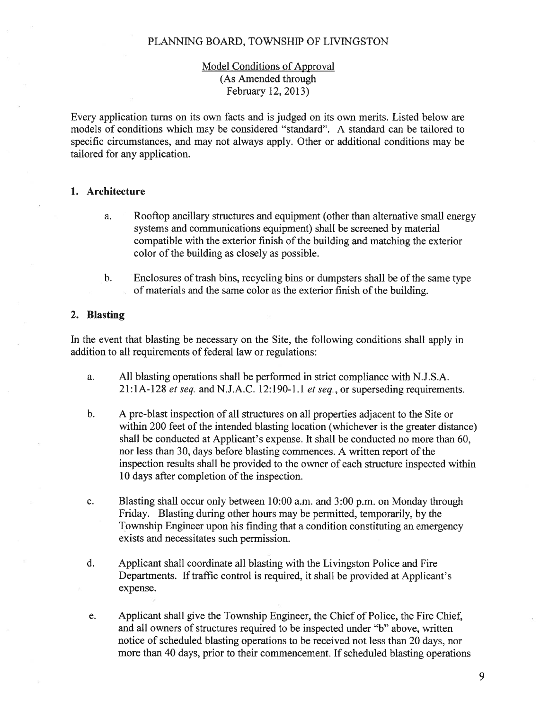# Model Conditions of Approval (As Amended through February 12, 2013)

Every application turns on its own facts and is judged on its own merits. Listed below are models of conditions which may be considered "standard". A standard can be tailored to specific circumstances, and may not always apply. Other or additional conditions may be tailored for any application.

### 1. Architecture

- a. Rooftop ancillary structures and equipment (other than alternative small energy systems and communications equipment) shall be screened by material compatible with the exterior finish of the building and matching the exterior color of the building as closely as possible.
- b. Enclosures of trash bins, recycling bins or dumpsters shall be of the same type of materials and the same color as the exterior finish of the building.

## 2. Blasting

In the event that blasting be necessary on the Site, the following conditions shall apply in addition to all requirements of federal law or regulations:

- a. All blasting operations shall be performed in strict compliance with N.J.S.A.  $21:1A-128$  et seq. and N.J.A.C. 12:190-1.1 et seq., or superseding requirements.
- b. A pre-blast inspection of all structures on all properties adjacent to the Site or within 200 feet of the intended blasting location (whichever is the greater distance) shall be conducted at Applicant's expense. It shall be conducted no more than 60, nor less than 30, days before blasting commences. A written repor<sup>t</sup> of the inspection results shall be provided to the owner of each structure inspected within 10 days after completion of the inspection.
- c. Blasting shall occur only between 10:00 a.m. and 3:00 p.m. on Monday through Friday. Blasting during other hours may be permitted, temporarily, by the Township Engineer upon his finding that <sup>a</sup> condition constituting an emergency exists and necessitates such permission.
- d. Applicant shall coordinate all blasting with the Livingston Police and Fire Departments. If traffic control is required, it shall be provided at Applicant's expense.
- e. Applicant shall give the Township Engineer, the Chief of Police, the Fire Chief, and all owners of structures required to be inspected under "b" above, written notice of scheduled blasting operations to be received not less than 20 days, nor more than 40 days, prior to their commencement. If scheduled blasting operations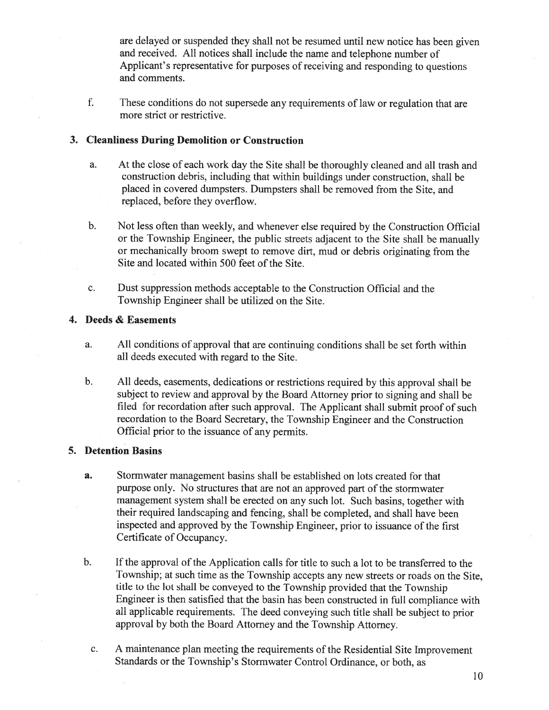are delayed or suspended they shall not be resumed until new notice has been <sup>g</sup>iven and received. All notices shall include the name and telephone number of Applicant's representative for purposes of receiving and responding to questions and comments.

f. These conditions do not supersede any requirements of law or regulation that are more strict or restrictive.

## 3. Cleanliness During Demolition or Construction

- a. At the close of each work day the Site shall be thoroughly cleaned and all trash and construction debris, including that within buildings under construction. shall be placed in covered dumpsters. Dumpsters shall be removed from the Site, and replaced, before they overflow.
- b. Not less often than weekly, and whenever else required by the Construction Official or the Township Engineer, the public streets adjacent to the Site shall be manually or mechanically broom swep<sup>t</sup> to remove dirt, mud or debris originating from the Site and located within 500 feet of the Site.
- c. Dust suppression methods acceptable to the Construction Official and the Township Engineer shall be utilized on the Site.

### 4. Deeds & Easements

- a. All conditions of approval that are continuing conditions shall be set forth within all deeds executed with regard to the Site.
- b. All deeds, easements, dedications or restrictions required by this approva<sup>l</sup> shall be subject to review and approva<sup>l</sup> by the Board Attorney prior to signing and shall be filed for recordation after such approval. The Applicant shall submit proo<sup>f</sup> of such recordation to the Board Secretary, the Township Engineer and the Construction Official prior to the issuance of any permits.

### 5. Detention Basins

- a. Stormwater managemen<sup>t</sup> basins shall be established on lots created for that purpose only. No structures that are not an approve<sup>d</sup> par<sup>t</sup> of the stormwater managemen<sup>t</sup> system shall be erected on any such lot. Such basins, together with their required landscaping and fencing, shall be completed, and shall have been inspected and approved by the Township Engineer, prior to issuance of the first Certificate of Occupancy.
- b. If the approval of the Application calls for title to such <sup>a</sup> lot to be transferred to the Township; at such time as the Township accepts any new streets or roads on the Site, title to the lot shall be conveye<sup>d</sup> to the Township provided that the Township Engineer is then satisfied that the basin has been constructed in full compliance with all applicable requirements. The deed conveying such title shall be subject to prior approva<sup>l</sup> by both the Board Attorney and the Township Attorney.
	- c. <sup>A</sup> maintenance <sup>p</sup>lan meeting the requirements of the Residential Site Improvement Standards or the Township's Stormwater Control Ordinance, or both, as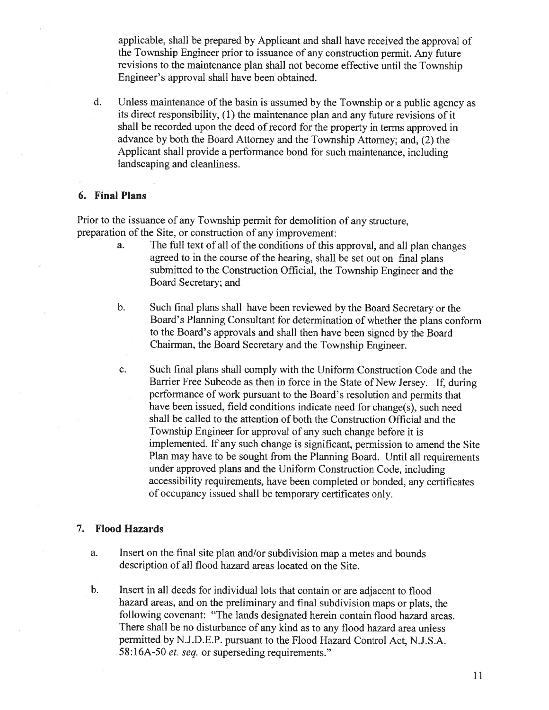applicable, shall be prepare<sup>d</sup> by Applicant and shall have received the approva<sup>l</sup> of the Township Engineer prior to issuance of any construction permit. Any future revisions to the maintenance <sup>p</sup>lan shall not become effective until the Township Engineer's approval shall have been obtained.

d. Unless maintenance of the basin is assumed by the Township or <sup>a</sup> public agency as its direct responsibility, (1) the maintenance <sup>p</sup>lan and any future revisions of it shall be recorded upon the deed of record for the property in terms approve<sup>d</sup> in advance by both the Board Attorney and the Township Attorney; and, (2) the Applicant shall provide <sup>a</sup> performance bond for such maintenance, including landscaping and cleanliness.

#### 6. Final Plans

Prior to the issuance of any Township permit for demolition of any structure. preparation of the Site, or construction of any improvement:

- a. The full text of all of the conditions of this approval, and all <sup>p</sup>lan changes agree<sup>d</sup> to in the course of the hearing, shall be set out on final <sup>p</sup>lans submitted to the Construction Official, the Township Engineer and the Board Secretary; and
- b. Such final <sup>p</sup>lans shall have been reviewed by the Board Secretary or the Board's Planning Consultant for determination of whether the <sup>p</sup>lans conform to the Board's approvals and shall then have been signed by the Board Chairman, the Board Secretary and the Township Engineer.
- c. Such final plans shall comply with the Uniform Construction Code and the Barrier Free Subcode as then in force in the State of New Jersey. If, during performance of work pursuan<sup>t</sup> to the Board's resolution and permits that have been issued, field conditions indicate need for change(s), such need shall be called to the attention of both the Construction Official and the Township Engineer for approva<sup>l</sup> of any such change before it is implemented. If any such change is significant, permission to amend the Site Plan may have to be sought from the Planning Board. Until all requirements under approve<sup>d</sup> <sup>p</sup>lans and the Uniform Construction Code, including accessibility requirements, have been completed or bonded, any certificates of occupancy issued shall be temporary certificates only.

### 7. Flood Hazards

- a. Insert on the final site <sup>p</sup>lan and/or subdivision map <sup>a</sup> metes and bounds description of all flood hazard areas located on the Site.
- b. Insert in all deeds for individual lots that contain or are adjacent to flood hazard areas, and on the preliminary and final subdivision maps or <sup>p</sup>lats, the following covenant: "The lands designated herein contain flood hazard areas. There shall be no disturbance of any kind as to any flood hazard area unless permitted byN.J.D.E.P. pursuan<sup>t</sup> to the Flood Hazard Control Act, N.J.S.A. 58:16A-50 et. seq. or superseding requirements."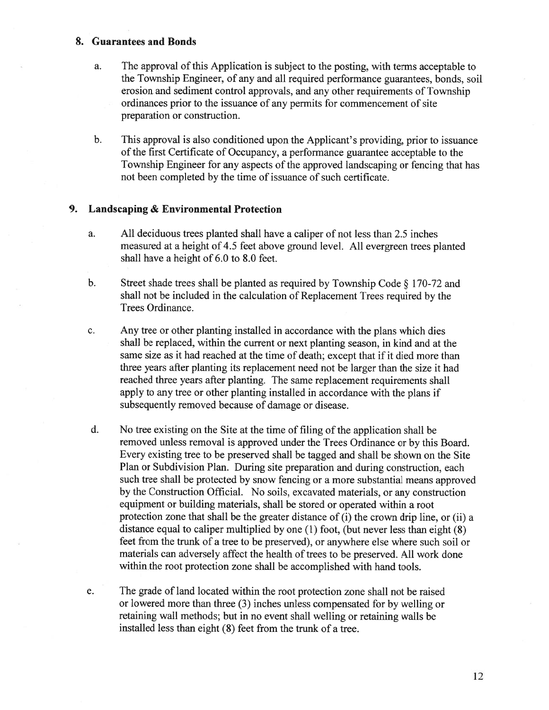#### 8. Guarantees and Bonds

- a. The approval of this Application is subject to the posting, with terms acceptable to the Township Engineer, of any and all required performance guarantees, bonds, soil erosion and sediment control approvals, and any other requirements of Township ordinances prior to the issuance of any permits for commencement of site preparation or construction.
- b. This approval is also conditioned upon the Applicant's providing, prior to issuance of the first Certificate of Occupancy, <sup>a</sup> performance guarantee acceptable to the Township Engineer for any aspects of the approved landscaping or fencing that has not been completed by the time of issuance of such certificate.

### 9. Landscaping & Environmental Protection

- a. All deciduous trees planted shall have <sup>a</sup> caliper of not less than 2.5 inches measured at <sup>a</sup> height of 4.5 feet above ground level. All evergreen trees planted shall have <sup>a</sup> height of 6.0 to 8.0 feet.
- b. Street shade trees shall be <sup>p</sup>lanted as required by Township Code § 170-72 and shall not be included in the calculation of Replacement Trees required by the Trees Ordinance.
- c. Any tree or other planting installed in accordance with the plans which dies shall be replaced, within the current or next planting season. in kind and at the same size as it had reached at the time of death; excep<sup>t</sup> that if it died more than three years after planting its replacement need not be larger than the size it had reached three years after <sup>p</sup>lanting. The same replacement requirements shall apply to any tree or other <sup>p</sup>lanting installed in accordance with the <sup>p</sup>lans if subsequently removed because of damage or disease.
- d. No tree existing on the Site at the time of filing of the application shall be removed unless removal is approved under the Trees Ordinance or by this Board. Every existing tree to be preserved shall be tagged and shall be shown on the Site Plan or Subdivision Plan. During site preparation and during construction, each such tree shall be protected by snow fencing or <sup>a</sup> more substantial means approved by the Construction Official. No soils, excavated materials, or any construction equipment or building materials, shall be stored or operated within <sup>a</sup> root protection zone that shall be the greater distance of (i) the crown drip line, or (ii) <sup>a</sup> distance equa<sup>l</sup> to caliper multiplied by one (1) foot, (but never less than eight (8) feet from the trunk of <sup>a</sup> tree to be preserved), or anywhere else where such soil or materials can adversely affect the health of trees to be preserved. All work done within the root protection zone shall be accomplished with hand tools.
- e. The grade of land located within the root protection zone shall not be raised or lowered more than three (3) inches unless compensated for by welling or retaining wall methods; but in no event shall welling or retaining walls be installed less than eight (8) feet from the trunk of <sup>a</sup> tree.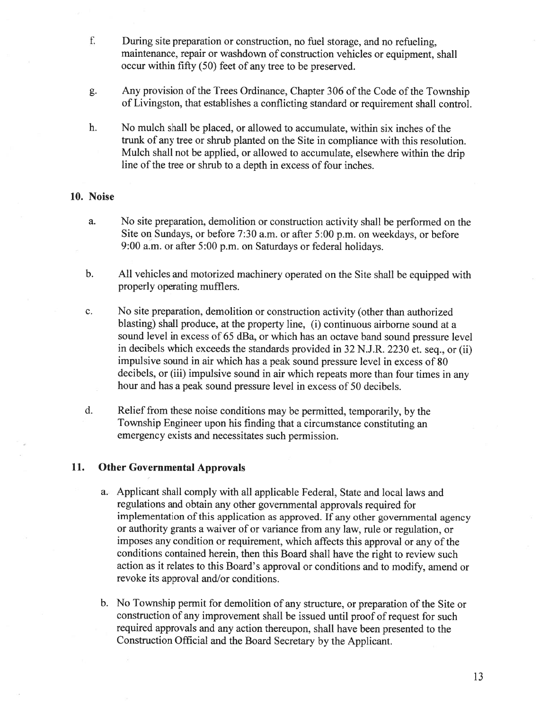- f. During site preparation or construction, no fuel storage, and no refueling, maintenance, repair or washdown of construction vehicles or equipment. shall occur within fifty (50) feet of any tree to be preserved.
- g. Any provision of the Trees Ordinance, Chapter <sup>306</sup> of the Code of the Township of Livingston, that establishes <sup>a</sup> conflicting standard or requirement shall control.
- h. No mulch shall be placed, or allowed to accumulate, within six inches of the trunk of any tree or shrub planted on the Site in compliance with this resolution. Mulch shall not be applied, or allowed to accumulate, elsewhere within the drip line of the tree or shrub to a depth in excess of four inches.

#### 10. Noise

- a. No site preparation, demolition or construction activity shall be performed on the Site on Sundays, or before 7:30 a.m. or after 5:00 p.m. on weekdays, or before 9:00 a.m. or after 5:00 p.m. on Saturdays or federal holidays.
- b. All vehicles and motorized machinery operated on the Site shall be equipped with properly operating mufflers.
- c. No site preparation, demolition or construction activity (other than authorized blasting) shall produce, at the property line, (i) continuous airborne sound at <sup>a</sup> sound level in excess of <sup>65</sup> dBa, or which has an octave band sound pressure level in decibels which exceeds the standards provided in <sup>32</sup> N.J.R. <sup>2230</sup> et. seq.. or (ii) impulsive sound in air which has <sup>a</sup> pea<sup>k</sup> sound pressure level in excess of <sup>80</sup> decibels, or (iii) impulsive sound in air which repeats more than four times in any hour and has <sup>a</sup> peak sound pressure level in excess of 50 decibels.
- d. Relief from these noise conditions may be permitted, temporarily, by the Township Engineer upon his finding that <sup>a</sup> circumstance constituting an emergency exists and necessitates such permission.

#### 11. Other Governmental Approvals

- a. Applicant shall comply with all applicable Federal, State and local laws and regulations and obtain any other governmental approvals required for implementation of this application as approved. If any other governmental agency or authority grants <sup>a</sup> waiver of or variance from any law, rule or regulation. or imposes any condition or requirement, which affects this approval or any of the conditions contained herein, then this Board shall have the right to review such action as it relates to this Board's approva<sup>l</sup> or conditions and to modify, amend or revoke its approval and/or conditions.
- b. No Township permit for demolition of any structure, or preparation of the Site or construction of any improvement shall be issued until proo<sup>f</sup> of reques<sup>t</sup> for such required approvals and any action thereupon, shall have been presented to the Construction Official and the Board Secretary by the Applicant.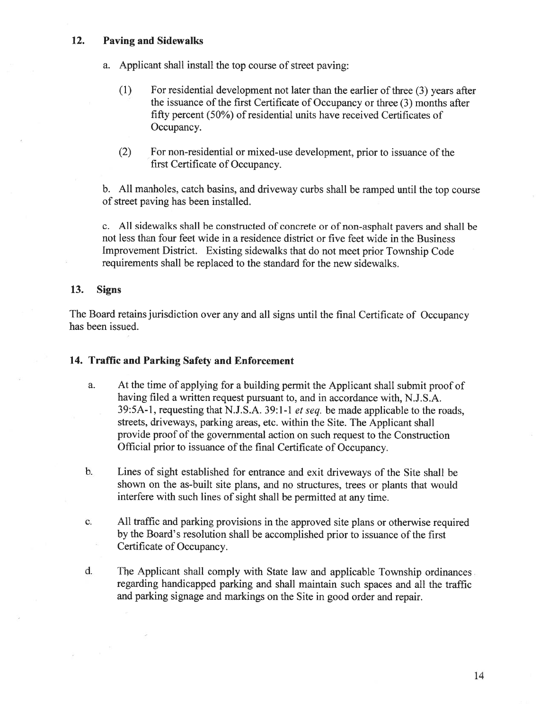## 12. Paving and Sidewalks

- a. Applicant shall install the top course of street paving:
	- (1) For residential development not later than the earlier of three (3) years after the issuance of the first Certificate of Occupancy or three (3) months after fifty percen<sup>t</sup> (50%) of residential units have received Certificates of Occupancy.
	- (2) For non-residential or mixed-use development, prior to issuance of the first Certificate of Occupancy.

b. All manholes, catch basins, and driveway curbs shall be ramped until the top course of street paving has been installed.

c. All sidewalks shall be constructed of concrete or of non-asphalt payers and shall be not less than four feet wide in <sup>a</sup> residence district or five feet wide in the Business Improvement District. Existing sidewalks that do not meet prior Township Code requirements shall be replaced to the standard for the new sidewalks.

### 13. Signs

The Board retains jurisdiction over any and all signs until the final Certificate of Occupancy has been issued.

### 14. Traffic and Parking Safety and Enforcement

- a. At the time of applying for <sup>a</sup> building permit the Applicant shall submit proof of having filed <sup>a</sup> written reques<sup>t</sup> pursuan<sup>t</sup> to, and in accordance with, N.J.S.A. 39:5A-1, requesting that N.J.S.A. 39:1-1 et seq. be made applicable to the roads, streets, driveways, parking areas, etc. within the Site. The Applicant shall provide proof of the governmental action on such reques<sup>t</sup> to the Construction Official prior to issuance of the final Certificate of Occupancy.
- b. Lines of sight established for entrance and exit driveways of the Site shall be shown on the as-built site <sup>p</sup>lans, and no structures, trees or <sup>p</sup>lants that would interfere with such lines of sight shall be permitted at any time.
- c. All traffic and parking provisions in the approve<sup>d</sup> site <sup>p</sup>lans or otherwise required by the Board's resolution shall be accomplished prior to issuance of the first Certificate of Occupancy.
- d. The Applicant shall comply with State law and applicable Township ordinances regarding handicapped parking and shall maintain such spaces and all the traffic and parking signage and markings on the Site in good order and repair.